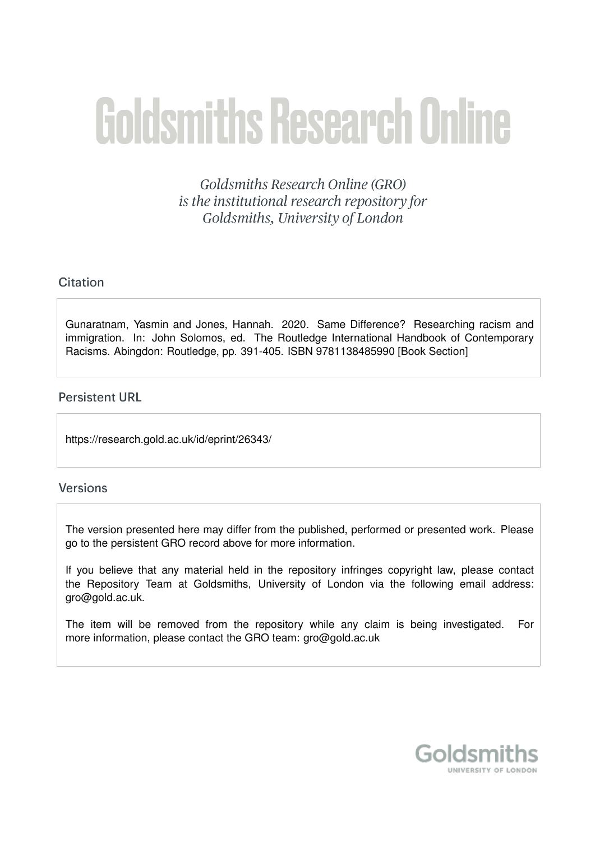# **Goldsmiths Research Online**

Goldsmiths Research Online (GRO) is the institutional research repository for Goldsmiths, University of London

# Citation

Gunaratnam, Yasmin and Jones, Hannah. 2020. Same Difference? Researching racism and immigration. In: John Solomos, ed. The Routledge International Handbook of Contemporary Racisms. Abingdon: Routledge, pp. 391-405. ISBN 9781138485990 [Book Section]

# **Persistent URL**

https://research.gold.ac.uk/id/eprint/26343/

# **Versions**

The version presented here may differ from the published, performed or presented work. Please go to the persistent GRO record above for more information.

If you believe that any material held in the repository infringes copyright law, please contact the Repository Team at Goldsmiths, University of London via the following email address: gro@gold.ac.uk.

The item will be removed from the repository while any claim is being investigated. For more information, please contact the GRO team: gro@gold.ac.uk

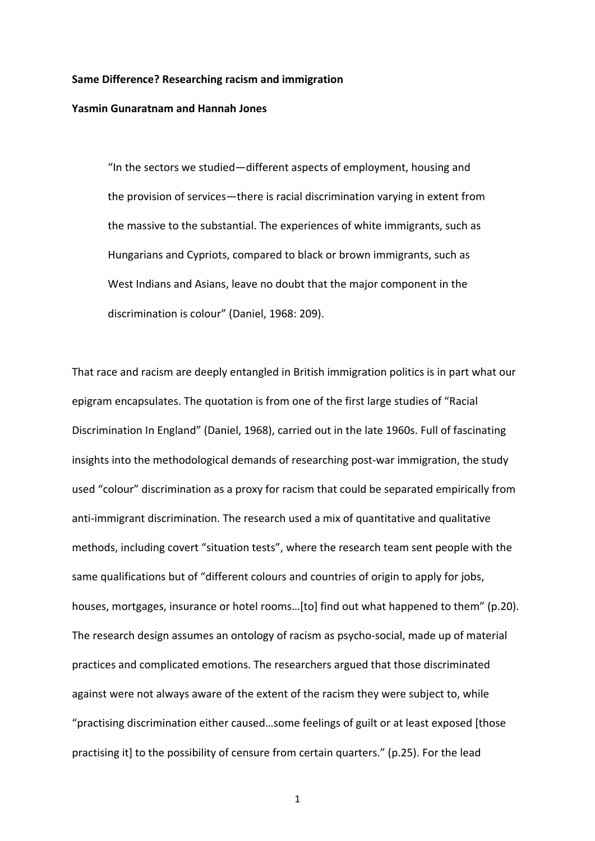#### **Same Difference? Researching racism and immigration**

#### **Yasmin Gunaratnam and Hannah Jones**

"In the sectors we studied—different aspects of employment, housing and the provision of services—there is racial discrimination varying in extent from the massive to the substantial. The experiences of white immigrants, such as Hungarians and Cypriots, compared to black or brown immigrants, such as West Indians and Asians, leave no doubt that the major component in the discrimination is colour" (Daniel, 1968: 209).

That race and racism are deeply entangled in British immigration politics is in part what our epigram encapsulates. The quotation is from one of the first large studies of "Racial Discrimination In England" (Daniel, 1968), carried out in the late 1960s. Full of fascinating insights into the methodological demands of researching post-war immigration, the study used "colour" discrimination as a proxy for racism that could be separated empirically from anti-immigrant discrimination. The research used a mix of quantitative and qualitative methods, including covert "situation tests", where the research team sent people with the same qualifications but of "different colours and countries of origin to apply for jobs, houses, mortgages, insurance or hotel rooms…[to] find out what happened to them" (p.20). The research design assumes an ontology of racism as psycho-social, made up of material practices and complicated emotions. The researchers argued that those discriminated against were not always aware of the extent of the racism they were subject to, while "practising discrimination either caused…some feelings of guilt or at least exposed [those practising it] to the possibility of censure from certain quarters." (p.25). For the lead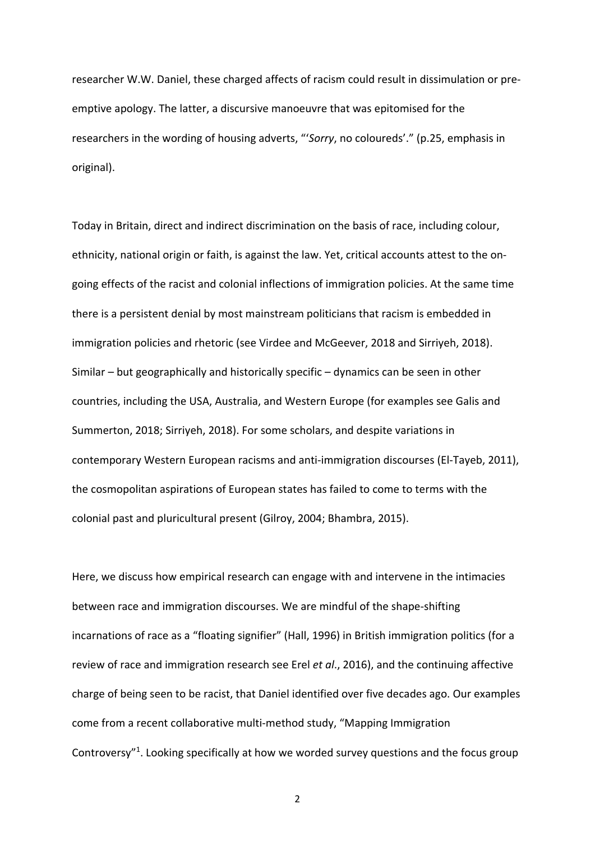researcher W.W. Daniel, these charged affects of racism could result in dissimulation or preemptive apology. The latter, a discursive manoeuvre that was epitomised for the researchers in the wording of housing adverts, "'*Sorry*, no coloureds'." (p.25, emphasis in original).

Today in Britain, direct and indirect discrimination on the basis of race, including colour, ethnicity, national origin or faith, is against the law. Yet, critical accounts attest to the ongoing effects of the racist and colonial inflections of immigration policies. At the same time there is a persistent denial by most mainstream politicians that racism is embedded in immigration policies and rhetoric (see Virdee and McGeever, 2018 and Sirriyeh, 2018). Similar – but geographically and historically specific – dynamics can be seen in other countries, including the USA, Australia, and Western Europe (for examples see Galis and Summerton, 2018; Sirriyeh, 2018). For some scholars, and despite variations in contemporary Western European racisms and anti-immigration discourses (El-Tayeb, 2011), the cosmopolitan aspirations of European states has failed to come to terms with the colonial past and pluricultural present (Gilroy, 2004; Bhambra, 2015).

Here, we discuss how empirical research can engage with and intervene in the intimacies between race and immigration discourses. We are mindful of the shape-shifting incarnations of race as a "floating signifier" (Hall, 1996) in British immigration politics (for a review of race and immigration research see Erel *et al*., 2016), and the continuing affective charge of being seen to be racist, that Daniel identified over five decades ago. Our examples come from a recent collaborative multi-method study, "Mapping Immigration Controversy"1. Looking specifically at how we worded survey questions and the focus group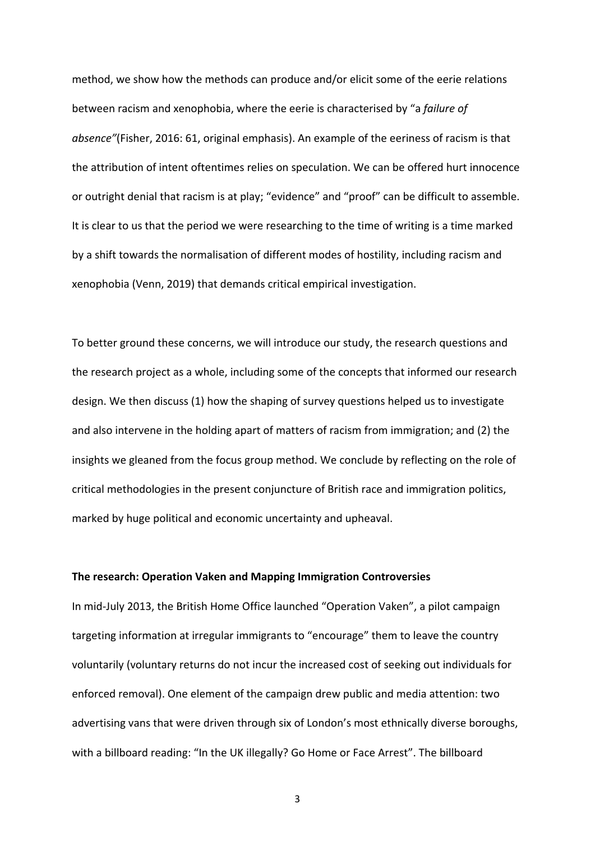method, we show how the methods can produce and/or elicit some of the eerie relations between racism and xenophobia, where the eerie is characterised by "a *failure of absence"*(Fisher, 2016: 61, original emphasis). An example of the eeriness of racism is that the attribution of intent oftentimes relies on speculation. We can be offered hurt innocence or outright denial that racism is at play; "evidence" and "proof" can be difficult to assemble. It is clear to us that the period we were researching to the time of writing is a time marked by a shift towards the normalisation of different modes of hostility, including racism and xenophobia (Venn, 2019) that demands critical empirical investigation.

To better ground these concerns, we will introduce our study, the research questions and the research project as a whole, including some of the concepts that informed our research design. We then discuss (1) how the shaping of survey questions helped us to investigate and also intervene in the holding apart of matters of racism from immigration; and (2) the insights we gleaned from the focus group method. We conclude by reflecting on the role of critical methodologies in the present conjuncture of British race and immigration politics, marked by huge political and economic uncertainty and upheaval.

#### **The research: Operation Vaken and Mapping Immigration Controversies**

In mid-July 2013, the British Home Office launched "Operation Vaken", a pilot campaign targeting information at irregular immigrants to "encourage" them to leave the country voluntarily (voluntary returns do not incur the increased cost of seeking out individuals for enforced removal). One element of the campaign drew public and media attention: two advertising vans that were driven through six of London's most ethnically diverse boroughs, with a billboard reading: "In the UK illegally? Go Home or Face Arrest". The billboard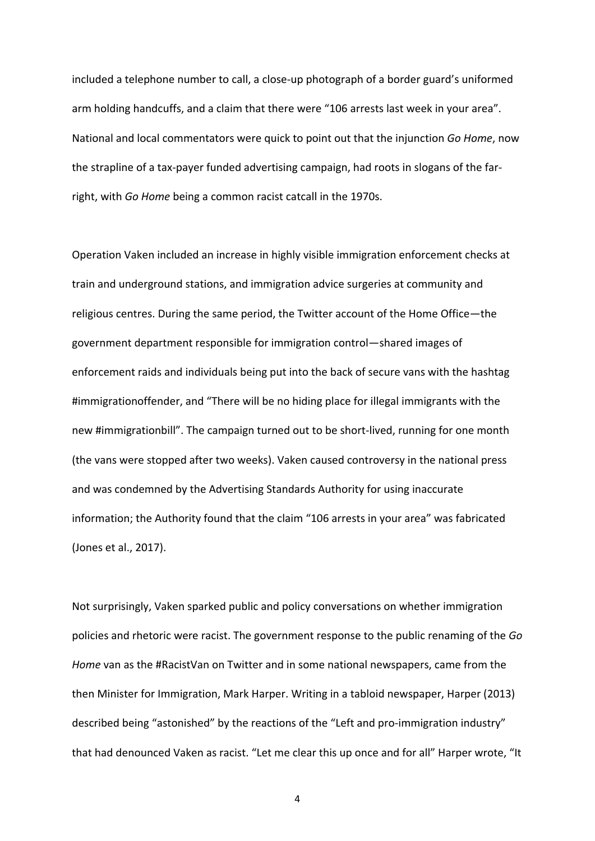included a telephone number to call, a close-up photograph of a border guard's uniformed arm holding handcuffs, and a claim that there were "106 arrests last week in your area". National and local commentators were quick to point out that the injunction *Go Home*, now the strapline of a tax-payer funded advertising campaign, had roots in slogans of the farright, with *Go Home* being a common racist catcall in the 1970s.

Operation Vaken included an increase in highly visible immigration enforcement checks at train and underground stations, and immigration advice surgeries at community and religious centres. During the same period, the Twitter account of the Home Office—the government department responsible for immigration control—shared images of enforcement raids and individuals being put into the back of secure vans with the hashtag #immigrationoffender, and "There will be no hiding place for illegal immigrants with the new #immigrationbill". The campaign turned out to be short-lived, running for one month (the vans were stopped after two weeks). Vaken caused controversy in the national press and was condemned by the Advertising Standards Authority for using inaccurate information; the Authority found that the claim "106 arrests in your area" was fabricated (Jones et al., 2017).

Not surprisingly, Vaken sparked public and policy conversations on whether immigration policies and rhetoric were racist. The government response to the public renaming of the *Go Home* van as the #RacistVan on Twitter and in some national newspapers, came from the then Minister for Immigration, Mark Harper. Writing in a tabloid newspaper, Harper (2013) described being "astonished" by the reactions of the "Left and pro-immigration industry" that had denounced Vaken as racist. "Let me clear this up once and for all" Harper wrote, "It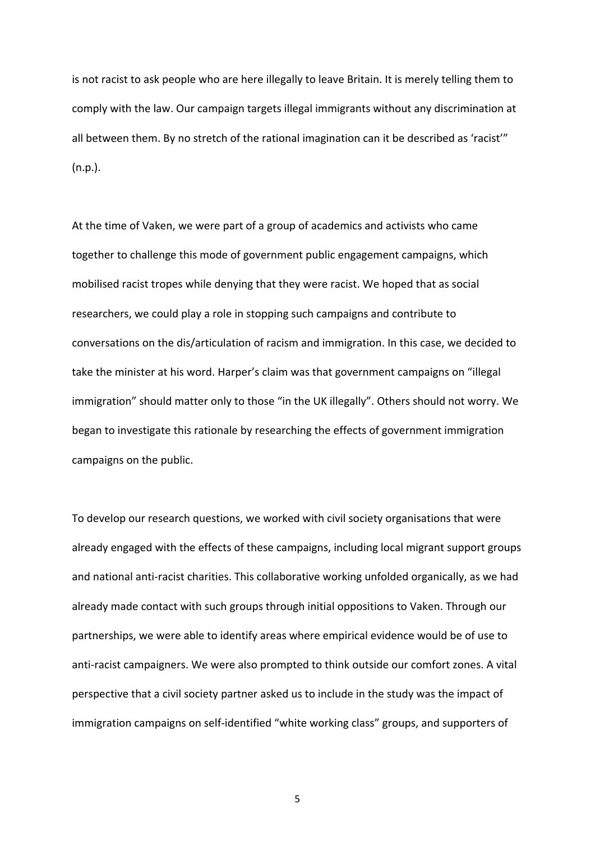is not racist to ask people who are here illegally to leave Britain. It is merely telling them to comply with the law. Our campaign targets illegal immigrants without any discrimination at all between them. By no stretch of the rational imagination can it be described as 'racist'" (n.p.).

At the time of Vaken, we were part of a group of academics and activists who came together to challenge this mode of government public engagement campaigns, which mobilised racist tropes while denying that they were racist. We hoped that as social researchers, we could play a role in stopping such campaigns and contribute to conversations on the dis/articulation of racism and immigration. In this case, we decided to take the minister at his word. Harper's claim was that government campaigns on "illegal immigration" should matter only to those "in the UK illegally". Others should not worry. We began to investigate this rationale by researching the effects of government immigration campaigns on the public.

To develop our research questions, we worked with civil society organisations that were already engaged with the effects of these campaigns, including local migrant support groups and national anti-racist charities. This collaborative working unfolded organically, as we had already made contact with such groups through initial oppositions to Vaken. Through our partnerships, we were able to identify areas where empirical evidence would be of use to anti-racist campaigners. We were also prompted to think outside our comfort zones. A vital perspective that a civil society partner asked us to include in the study was the impact of immigration campaigns on self-identified "white working class" groups, and supporters of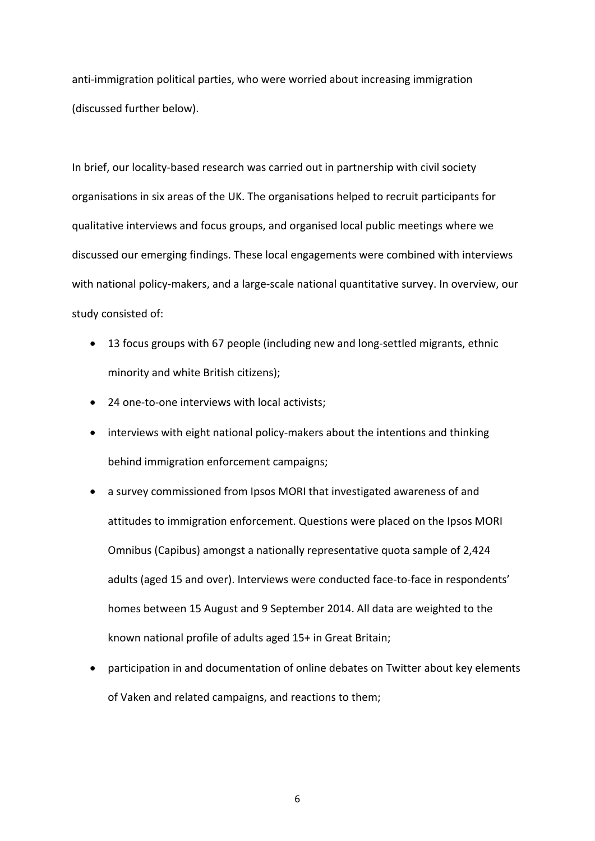anti-immigration political parties, who were worried about increasing immigration (discussed further below).

In brief, our locality-based research was carried out in partnership with civil society organisations in six areas of the UK. The organisations helped to recruit participants for qualitative interviews and focus groups, and organised local public meetings where we discussed our emerging findings. These local engagements were combined with interviews with national policy-makers, and a large-scale national quantitative survey. In overview, our study consisted of:

- 13 focus groups with 67 people (including new and long-settled migrants, ethnic minority and white British citizens);
- 24 one-to-one interviews with local activists;
- interviews with eight national policy-makers about the intentions and thinking behind immigration enforcement campaigns;
- a survey commissioned from Ipsos MORI that investigated awareness of and attitudes to immigration enforcement. Questions were placed on the Ipsos MORI Omnibus (Capibus) amongst a nationally representative quota sample of 2,424 adults (aged 15 and over). Interviews were conducted face-to-face in respondents' homes between 15 August and 9 September 2014. All data are weighted to the known national profile of adults aged 15+ in Great Britain;
- participation in and documentation of online debates on Twitter about key elements of Vaken and related campaigns, and reactions to them;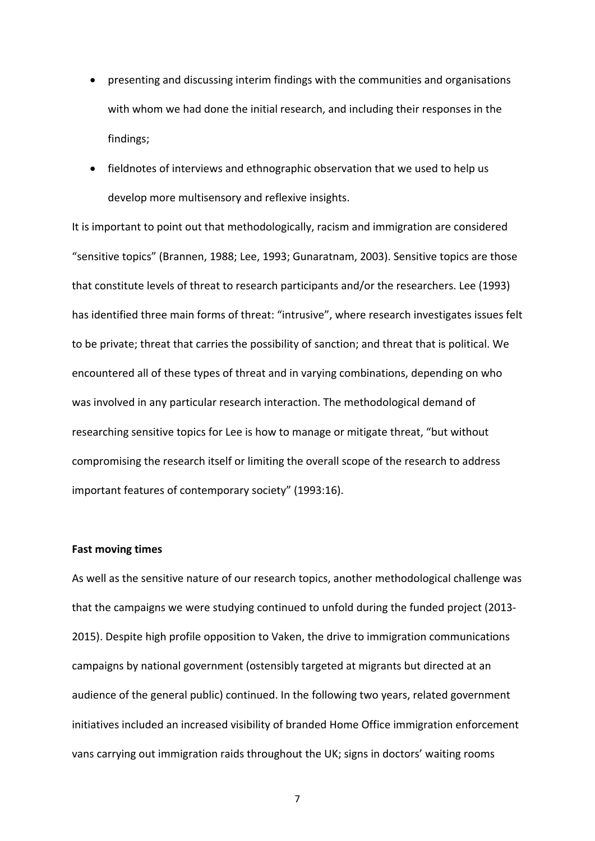- presenting and discussing interim findings with the communities and organisations with whom we had done the initial research, and including their responses in the findings;
- fieldnotes of interviews and ethnographic observation that we used to help us develop more multisensory and reflexive insights.

It is important to point out that methodologically, racism and immigration are considered "sensitive topics" (Brannen, 1988; Lee, 1993; Gunaratnam, 2003). Sensitive topics are those that constitute levels of threat to research participants and/or the researchers. Lee (1993) has identified three main forms of threat: "intrusive", where research investigates issues felt to be private; threat that carries the possibility of sanction; and threat that is political. We encountered all of these types of threat and in varying combinations, depending on who was involved in any particular research interaction. The methodological demand of researching sensitive topics for Lee is how to manage or mitigate threat, "but without compromising the research itself or limiting the overall scope of the research to address important features of contemporary society" (1993:16).

#### **Fast moving times**

As well as the sensitive nature of our research topics, another methodological challenge was that the campaigns we were studying continued to unfold during the funded project (2013- 2015). Despite high profile opposition to Vaken, the drive to immigration communications campaigns by national government (ostensibly targeted at migrants but directed at an audience of the general public) continued. In the following two years, related government initiatives included an increased visibility of branded Home Office immigration enforcement vans carrying out immigration raids throughout the UK; signs in doctors' waiting rooms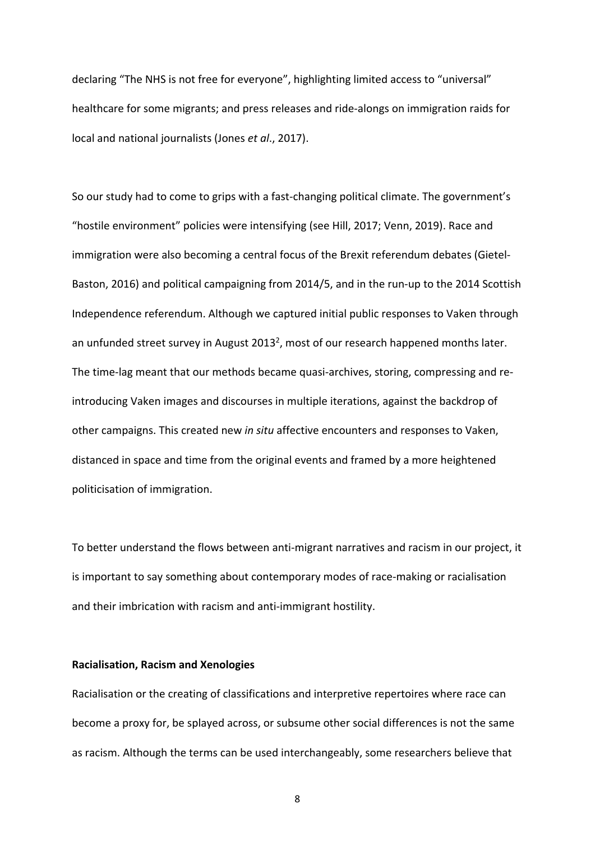declaring "The NHS is not free for everyone", highlighting limited access to "universal" healthcare for some migrants; and press releases and ride-alongs on immigration raids for local and national journalists (Jones *et al*., 2017).

So our study had to come to grips with a fast-changing political climate. The government's "hostile environment" policies were intensifying (see Hill, 2017; Venn, 2019). Race and immigration were also becoming a central focus of the Brexit referendum debates (Gietel-Baston, 2016) and political campaigning from 2014/5, and in the run-up to the 2014 Scottish Independence referendum. Although we captured initial public responses to Vaken through an unfunded street survey in August 2013<sup>2</sup>, most of our research happened months later. The time-lag meant that our methods became quasi-archives, storing, compressing and reintroducing Vaken images and discourses in multiple iterations, against the backdrop of other campaigns. This created new *in situ* affective encounters and responses to Vaken, distanced in space and time from the original events and framed by a more heightened politicisation of immigration.

To better understand the flows between anti-migrant narratives and racism in our project, it is important to say something about contemporary modes of race-making or racialisation and their imbrication with racism and anti-immigrant hostility.

## **Racialisation, Racism and Xenologies**

Racialisation or the creating of classifications and interpretive repertoires where race can become a proxy for, be splayed across, or subsume other social differences is not the same as racism. Although the terms can be used interchangeably, some researchers believe that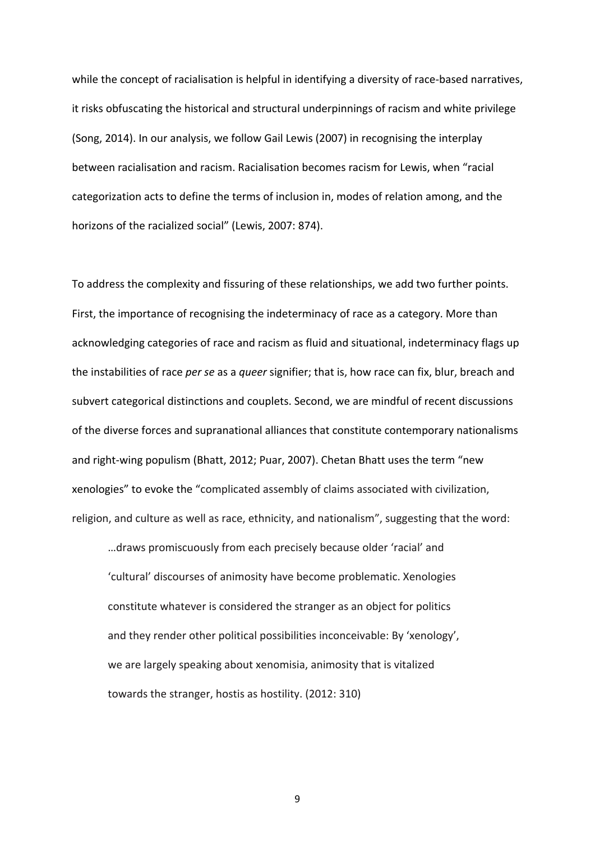while the concept of racialisation is helpful in identifying a diversity of race-based narratives, it risks obfuscating the historical and structural underpinnings of racism and white privilege (Song, 2014). In our analysis, we follow Gail Lewis (2007) in recognising the interplay between racialisation and racism. Racialisation becomes racism for Lewis, when "racial categorization acts to define the terms of inclusion in, modes of relation among, and the horizons of the racialized social" (Lewis, 2007: 874).

To address the complexity and fissuring of these relationships, we add two further points. First, the importance of recognising the indeterminacy of race as a category. More than acknowledging categories of race and racism as fluid and situational, indeterminacy flags up the instabilities of race *per se* as a *queer* signifier; that is, how race can fix, blur, breach and subvert categorical distinctions and couplets. Second, we are mindful of recent discussions of the diverse forces and supranational alliances that constitute contemporary nationalisms and right-wing populism (Bhatt, 2012; Puar, 2007). Chetan Bhatt uses the term "new xenologies" to evoke the "complicated assembly of claims associated with civilization, religion, and culture as well as race, ethnicity, and nationalism", suggesting that the word:

…draws promiscuously from each precisely because older 'racial' and 'cultural' discourses of animosity have become problematic. Xenologies constitute whatever is considered the stranger as an object for politics and they render other political possibilities inconceivable: By 'xenology', we are largely speaking about xenomisia, animosity that is vitalized towards the stranger, hostis as hostility. (2012: 310)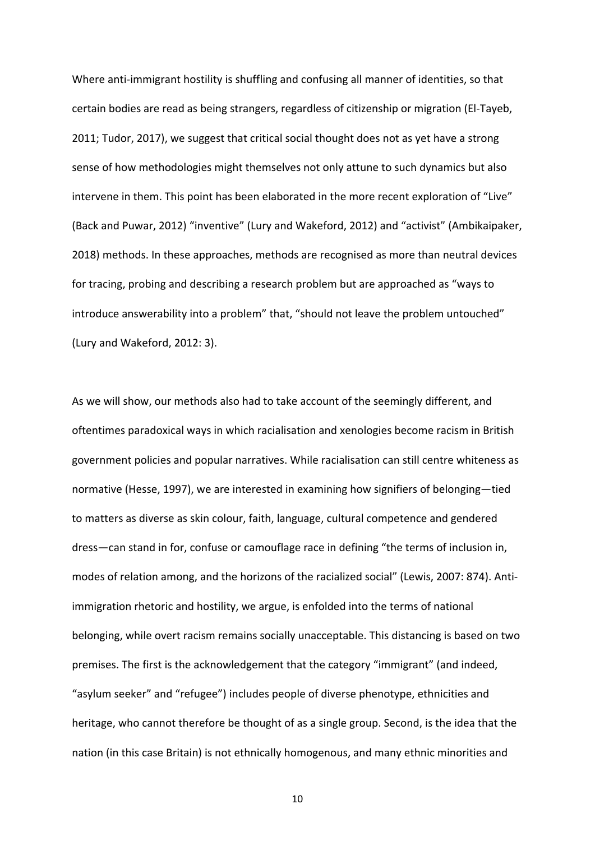Where anti-immigrant hostility is shuffling and confusing all manner of identities, so that certain bodies are read as being strangers, regardless of citizenship or migration (El-Tayeb, 2011; Tudor, 2017), we suggest that critical social thought does not as yet have a strong sense of how methodologies might themselves not only attune to such dynamics but also intervene in them. This point has been elaborated in the more recent exploration of "Live" (Back and Puwar, 2012) "inventive" (Lury and Wakeford, 2012) and "activist" (Ambikaipaker, 2018) methods. In these approaches, methods are recognised as more than neutral devices for tracing, probing and describing a research problem but are approached as "ways to introduce answerability into a problem" that, "should not leave the problem untouched" (Lury and Wakeford, 2012: 3).

As we will show, our methods also had to take account of the seemingly different, and oftentimes paradoxical ways in which racialisation and xenologies become racism in British government policies and popular narratives. While racialisation can still centre whiteness as normative (Hesse, 1997), we are interested in examining how signifiers of belonging—tied to matters as diverse as skin colour, faith, language, cultural competence and gendered dress—can stand in for, confuse or camouflage race in defining "the terms of inclusion in, modes of relation among, and the horizons of the racialized social" (Lewis, 2007: 874). Antiimmigration rhetoric and hostility, we argue, is enfolded into the terms of national belonging, while overt racism remains socially unacceptable. This distancing is based on two premises. The first is the acknowledgement that the category "immigrant" (and indeed, "asylum seeker" and "refugee") includes people of diverse phenotype, ethnicities and heritage, who cannot therefore be thought of as a single group. Second, is the idea that the nation (in this case Britain) is not ethnically homogenous, and many ethnic minorities and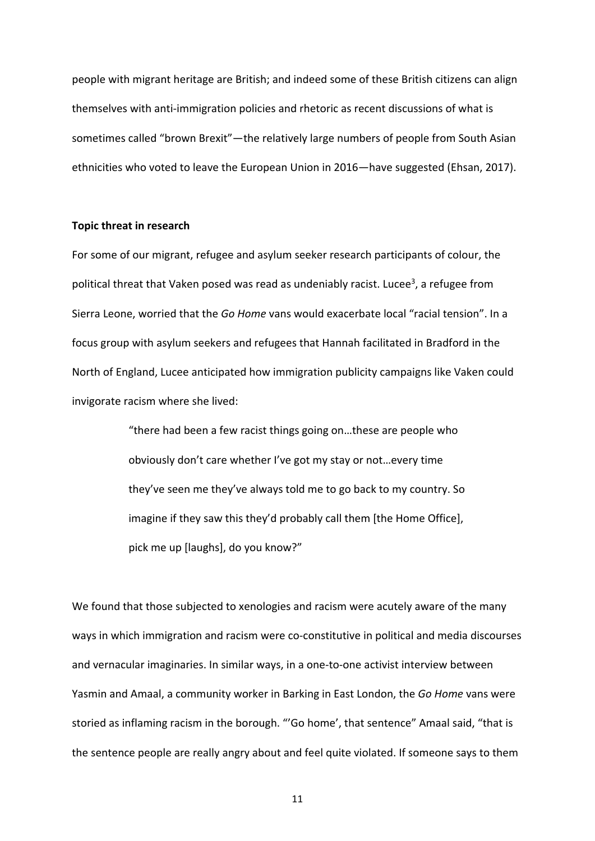people with migrant heritage are British; and indeed some of these British citizens can align themselves with anti-immigration policies and rhetoric as recent discussions of what is sometimes called "brown Brexit"—the relatively large numbers of people from South Asian ethnicities who voted to leave the European Union in 2016—have suggested (Ehsan, 2017).

## **Topic threat in research**

For some of our migrant, refugee and asylum seeker research participants of colour, the political threat that Vaken posed was read as undeniably racist. Lucee<sup>3</sup>, a refugee from Sierra Leone, worried that the *Go Home* vans would exacerbate local "racial tension". In a focus group with asylum seekers and refugees that Hannah facilitated in Bradford in the North of England, Lucee anticipated how immigration publicity campaigns like Vaken could invigorate racism where she lived:

> "there had been a few racist things going on…these are people who obviously don't care whether I've got my stay or not…every time they've seen me they've always told me to go back to my country. So imagine if they saw this they'd probably call them [the Home Office], pick me up [laughs], do you know?"

We found that those subjected to xenologies and racism were acutely aware of the many ways in which immigration and racism were co-constitutive in political and media discourses and vernacular imaginaries. In similar ways, in a one-to-one activist interview between Yasmin and Amaal, a community worker in Barking in East London, the *Go Home* vans were storied as inflaming racism in the borough. "'Go home', that sentence" Amaal said, "that is the sentence people are really angry about and feel quite violated. If someone says to them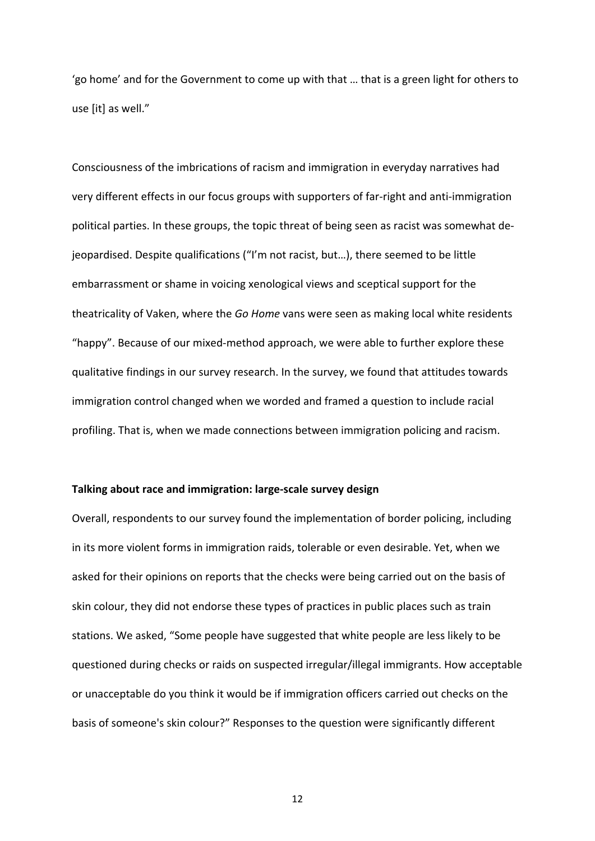'go home' and for the Government to come up with that … that is a green light for others to use *[it]* as well."

Consciousness of the imbrications of racism and immigration in everyday narratives had very different effects in our focus groups with supporters of far-right and anti-immigration political parties. In these groups, the topic threat of being seen as racist was somewhat dejeopardised. Despite qualifications ("I'm not racist, but…), there seemed to be little embarrassment or shame in voicing xenological views and sceptical support for the theatricality of Vaken, where the *Go Home* vans were seen as making local white residents "happy". Because of our mixed-method approach, we were able to further explore these qualitative findings in our survey research. In the survey, we found that attitudes towards immigration control changed when we worded and framed a question to include racial profiling. That is, when we made connections between immigration policing and racism.

# **Talking about race and immigration: large-scale survey design**

Overall, respondents to our survey found the implementation of border policing, including in its more violent forms in immigration raids, tolerable or even desirable. Yet, when we asked for their opinions on reports that the checks were being carried out on the basis of skin colour, they did not endorse these types of practices in public places such as train stations. We asked, "Some people have suggested that white people are less likely to be questioned during checks or raids on suspected irregular/illegal immigrants. How acceptable or unacceptable do you think it would be if immigration officers carried out checks on the basis of someone's skin colour?" Responses to the question were significantly different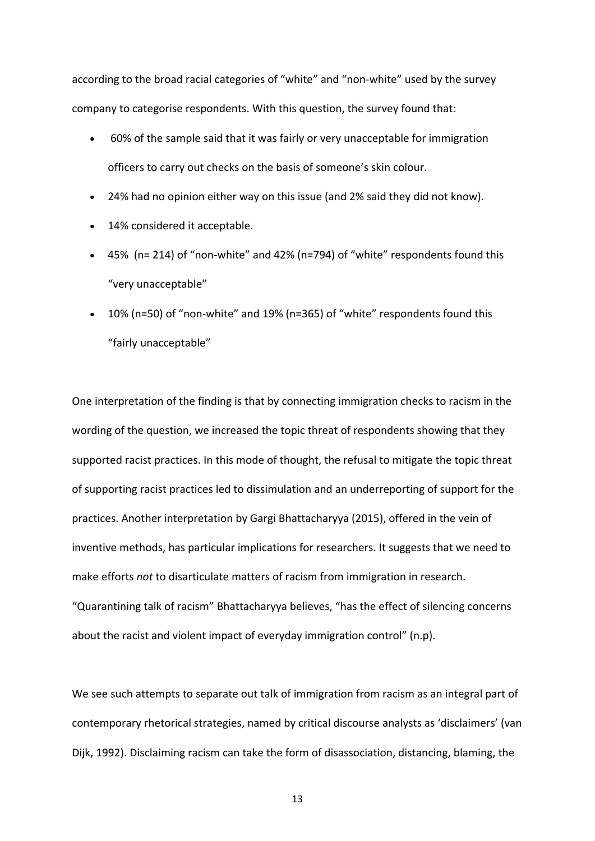according to the broad racial categories of "white" and "non-white" used by the survey company to categorise respondents. With this question, the survey found that:

- 60% of the sample said that it was fairly or very unacceptable for immigration officers to carry out checks on the basis of someone's skin colour.
- 24% had no opinion either way on this issue (and 2% said they did not know).
- 14% considered it acceptable.
- 45% (n= 214) of "non-white" and 42% (n=794) of "white" respondents found this "very unacceptable"
- 10% (n=50) of "non-white" and 19% (n=365) of "white" respondents found this "fairly unacceptable"

One interpretation of the finding is that by connecting immigration checks to racism in the wording of the question, we increased the topic threat of respondents showing that they supported racist practices. In this mode of thought, the refusal to mitigate the topic threat of supporting racist practices led to dissimulation and an underreporting of support for the practices. Another interpretation by Gargi Bhattacharyya (2015), offered in the vein of inventive methods, has particular implications for researchers. It suggests that we need to make efforts *not* to disarticulate matters of racism from immigration in research. "Quarantining talk of racism" Bhattacharyya believes, "has the effect of silencing concerns about the racist and violent impact of everyday immigration control" (n.p).

We see such attempts to separate out talk of immigration from racism as an integral part of contemporary rhetorical strategies, named by critical discourse analysts as 'disclaimers' (van Dijk, 1992). Disclaiming racism can take the form of disassociation, distancing, blaming, the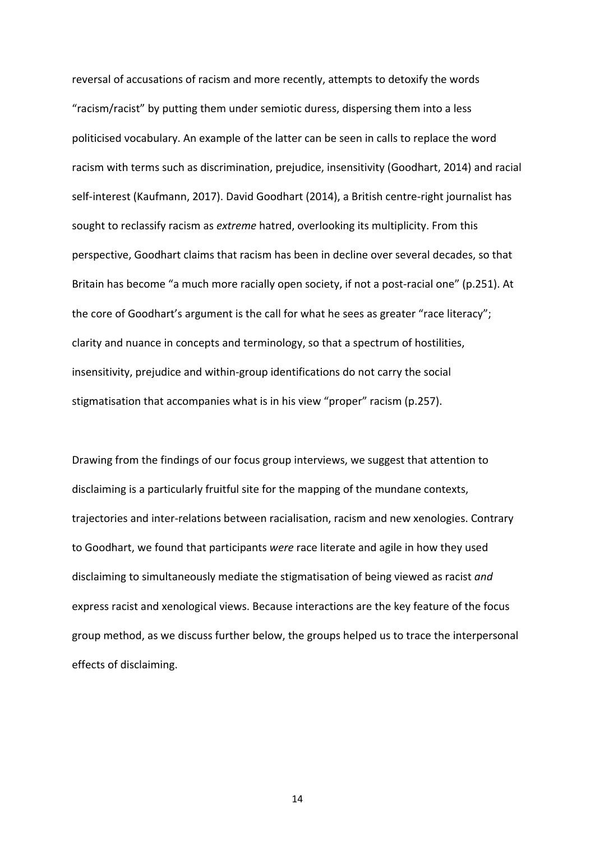reversal of accusations of racism and more recently, attempts to detoxify the words "racism/racist" by putting them under semiotic duress, dispersing them into a less politicised vocabulary. An example of the latter can be seen in calls to replace the word racism with terms such as discrimination, prejudice, insensitivity (Goodhart, 2014) and racial self-interest (Kaufmann, 2017). David Goodhart (2014), a British centre-right journalist has sought to reclassify racism as *extreme* hatred, overlooking its multiplicity. From this perspective, Goodhart claims that racism has been in decline over several decades, so that Britain has become "a much more racially open society, if not a post-racial one" (p.251). At the core of Goodhart's argument is the call for what he sees as greater "race literacy"; clarity and nuance in concepts and terminology, so that a spectrum of hostilities, insensitivity, prejudice and within-group identifications do not carry the social stigmatisation that accompanies what is in his view "proper" racism (p.257).

Drawing from the findings of our focus group interviews, we suggest that attention to disclaiming is a particularly fruitful site for the mapping of the mundane contexts, trajectories and inter-relations between racialisation, racism and new xenologies. Contrary to Goodhart, we found that participants *were* race literate and agile in how they used disclaiming to simultaneously mediate the stigmatisation of being viewed as racist *and* express racist and xenological views. Because interactions are the key feature of the focus group method, as we discuss further below, the groups helped us to trace the interpersonal effects of disclaiming.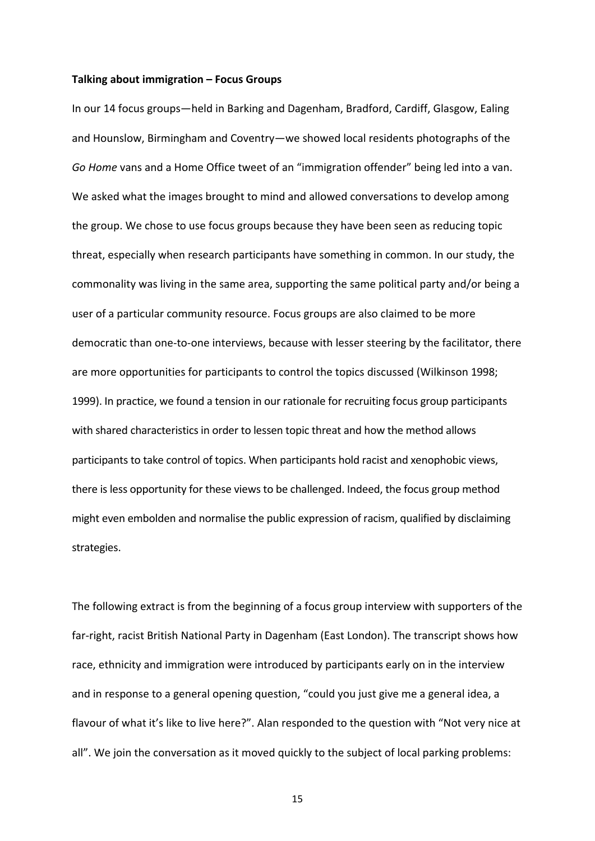#### **Talking about immigration – Focus Groups**

In our 14 focus groups—held in Barking and Dagenham, Bradford, Cardiff, Glasgow, Ealing and Hounslow, Birmingham and Coventry—we showed local residents photographs of the *Go Home* vans and a Home Office tweet of an "immigration offender" being led into a van. We asked what the images brought to mind and allowed conversations to develop among the group. We chose to use focus groups because they have been seen as reducing topic threat, especially when research participants have something in common. In our study, the commonality was living in the same area, supporting the same political party and/or being a user of a particular community resource. Focus groups are also claimed to be more democratic than one-to-one interviews, because with lesser steering by the facilitator, there are more opportunities for participants to control the topics discussed (Wilkinson 1998; 1999). In practice, we found a tension in our rationale for recruiting focus group participants with shared characteristics in order to lessen topic threat and how the method allows participants to take control of topics. When participants hold racist and xenophobic views, there is less opportunity for these views to be challenged. Indeed, the focus group method might even embolden and normalise the public expression of racism, qualified by disclaiming strategies.

The following extract is from the beginning of a focus group interview with supporters of the far-right, racist British National Party in Dagenham (East London). The transcript shows how race, ethnicity and immigration were introduced by participants early on in the interview and in response to a general opening question, "could you just give me a general idea, a flavour of what it's like to live here?". Alan responded to the question with "Not very nice at all". We join the conversation as it moved quickly to the subject of local parking problems: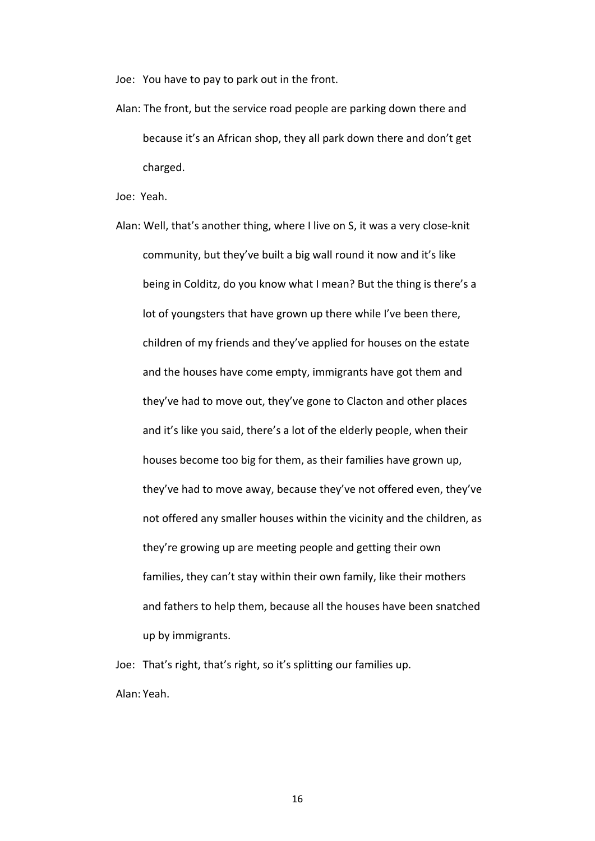Joe: You have to pay to park out in the front.

Alan: The front, but the service road people are parking down there and because it's an African shop, they all park down there and don't get charged.

Joe: Yeah.

Alan: Well, that's another thing, where I live on S, it was a very close-knit community, but they've built a big wall round it now and it's like being in Colditz, do you know what I mean? But the thing is there's a lot of youngsters that have grown up there while I've been there, children of my friends and they've applied for houses on the estate and the houses have come empty, immigrants have got them and they've had to move out, they've gone to Clacton and other places and it's like you said, there's a lot of the elderly people, when their houses become too big for them, as their families have grown up, they've had to move away, because they've not offered even, they've not offered any smaller houses within the vicinity and the children, as they're growing up are meeting people and getting their own families, they can't stay within their own family, like their mothers and fathers to help them, because all the houses have been snatched up by immigrants.

Joe: That's right, that's right, so it's splitting our families up. Alan: Yeah.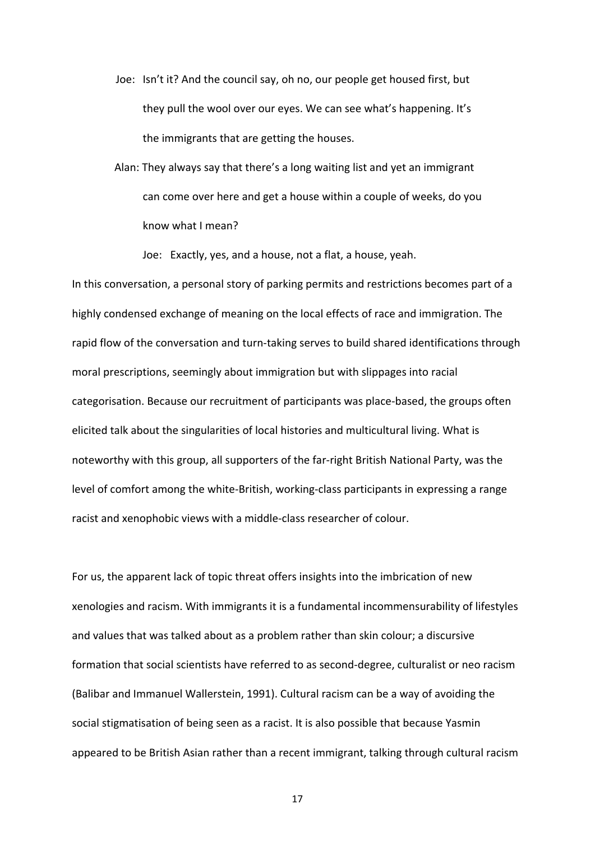- Joe: Isn't it? And the council say, oh no, our people get housed first, but they pull the wool over our eyes. We can see what's happening. It's the immigrants that are getting the houses.
- Alan: They always say that there's a long waiting list and yet an immigrant can come over here and get a house within a couple of weeks, do you know what I mean?

Joe: Exactly, yes, and a house, not a flat, a house, yeah.

In this conversation, a personal story of parking permits and restrictions becomes part of a highly condensed exchange of meaning on the local effects of race and immigration. The rapid flow of the conversation and turn-taking serves to build shared identifications through moral prescriptions, seemingly about immigration but with slippages into racial categorisation. Because our recruitment of participants was place-based, the groups often elicited talk about the singularities of local histories and multicultural living. What is noteworthy with this group, all supporters of the far-right British National Party, was the level of comfort among the white-British, working-class participants in expressing a range racist and xenophobic views with a middle-class researcher of colour.

For us, the apparent lack of topic threat offers insights into the imbrication of new xenologies and racism. With immigrants it is a fundamental incommensurability of lifestyles and values that was talked about as a problem rather than skin colour; a discursive formation that social scientists have referred to as second-degree, culturalist or neo racism (Balibar and Immanuel Wallerstein, 1991). Cultural racism can be a way of avoiding the social stigmatisation of being seen as a racist. It is also possible that because Yasmin appeared to be British Asian rather than a recent immigrant, talking through cultural racism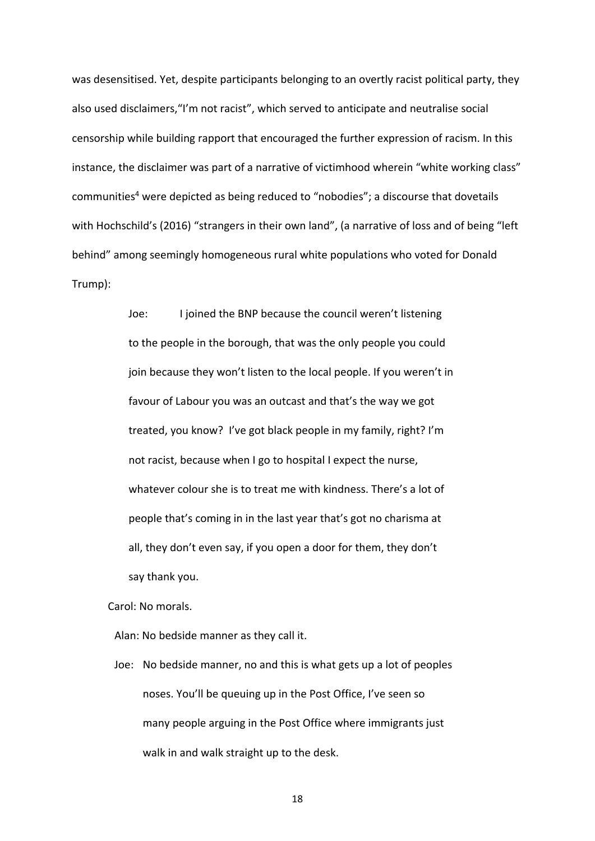was desensitised. Yet, despite participants belonging to an overtly racist political party, they also used disclaimers,"I'm not racist", which served to anticipate and neutralise social censorship while building rapport that encouraged the further expression of racism. In this instance, the disclaimer was part of a narrative of victimhood wherein "white working class" communities<sup>4</sup> were depicted as being reduced to "nobodies"; a discourse that dovetails with Hochschild's (2016) "strangers in their own land", (a narrative of loss and of being "left behind" among seemingly homogeneous rural white populations who voted for Donald Trump):

> Joe: I joined the BNP because the council weren't listening to the people in the borough, that was the only people you could join because they won't listen to the local people. If you weren't in favour of Labour you was an outcast and that's the way we got treated, you know? I've got black people in my family, right? I'm not racist, because when I go to hospital I expect the nurse, whatever colour she is to treat me with kindness. There's a lot of people that's coming in in the last year that's got no charisma at all, they don't even say, if you open a door for them, they don't say thank you.

Carol: No morals.

Alan: No bedside manner as they call it.

Joe: No bedside manner, no and this is what gets up a lot of peoples noses. You'll be queuing up in the Post Office, I've seen so many people arguing in the Post Office where immigrants just walk in and walk straight up to the desk.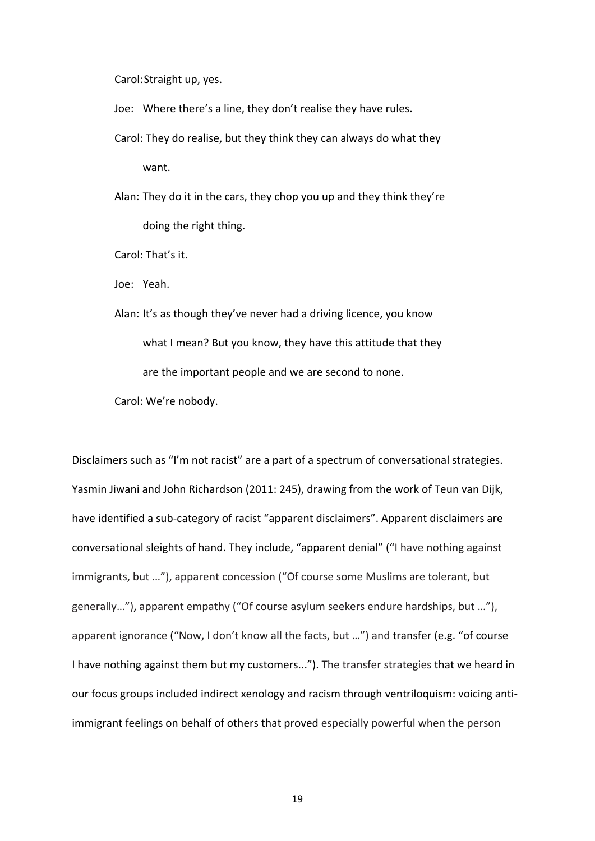Carol:Straight up, yes.

Joe: Where there's a line, they don't realise they have rules.

- Carol: They do realise, but they think they can always do what they want.
- Alan: They do it in the cars, they chop you up and they think they're doing the right thing.
- Carol: That's it.

Joe: Yeah.

Alan: It's as though they've never had a driving licence, you know what I mean? But you know, they have this attitude that they are the important people and we are second to none.

Carol: We're nobody.

Disclaimers such as "I'm not racist" are a part of a spectrum of conversational strategies. Yasmin Jiwani and John Richardson (2011: 245), drawing from the work of Teun van Dijk, have identified a sub-category of racist "apparent disclaimers". Apparent disclaimers are conversational sleights of hand. They include, "apparent denial" ("I have nothing against immigrants, but …"), apparent concession ("Of course some Muslims are tolerant, but generally…"), apparent empathy ("Of course asylum seekers endure hardships, but …"), apparent ignorance ("Now, I don't know all the facts, but …") and transfer (e.g. "of course I have nothing against them but my customers..."). The transfer strategies that we heard in our focus groups included indirect xenology and racism through ventriloquism: voicing antiimmigrant feelings on behalf of others that proved especially powerful when the person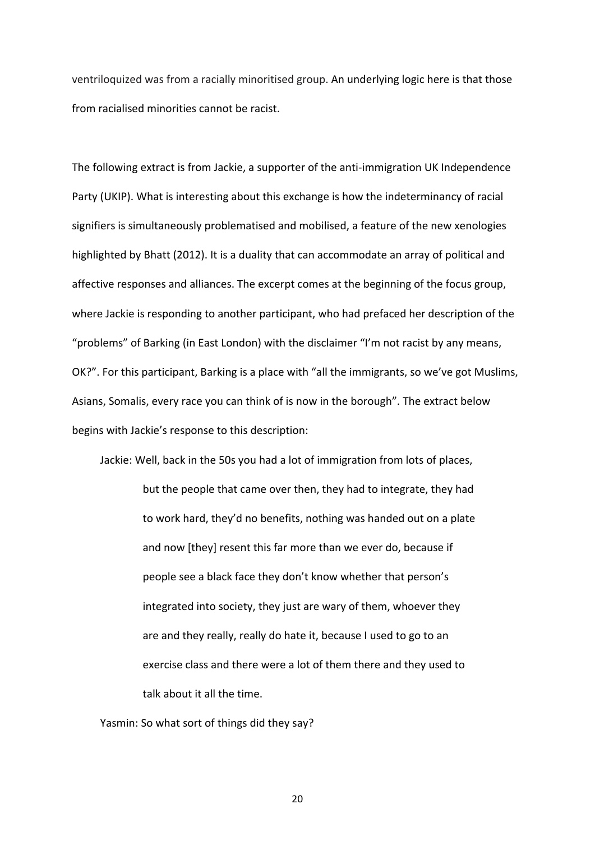ventriloquized was from a racially minoritised group. An underlying logic here is that those from racialised minorities cannot be racist.

The following extract is from Jackie, a supporter of the anti-immigration UK Independence Party (UKIP). What is interesting about this exchange is how the indeterminancy of racial signifiers is simultaneously problematised and mobilised, a feature of the new xenologies highlighted by Bhatt (2012). It is a duality that can accommodate an array of political and affective responses and alliances. The excerpt comes at the beginning of the focus group, where Jackie is responding to another participant, who had prefaced her description of the "problems" of Barking (in East London) with the disclaimer "I'm not racist by any means, OK?". For this participant, Barking is a place with "all the immigrants, so we've got Muslims, Asians, Somalis, every race you can think of is now in the borough". The extract below begins with Jackie's response to this description:

Jackie: Well, back in the 50s you had a lot of immigration from lots of places,

but the people that came over then, they had to integrate, they had to work hard, they'd no benefits, nothing was handed out on a plate and now [they] resent this far more than we ever do, because if people see a black face they don't know whether that person's integrated into society, they just are wary of them, whoever they are and they really, really do hate it, because I used to go to an exercise class and there were a lot of them there and they used to talk about it all the time.

Yasmin: So what sort of things did they say?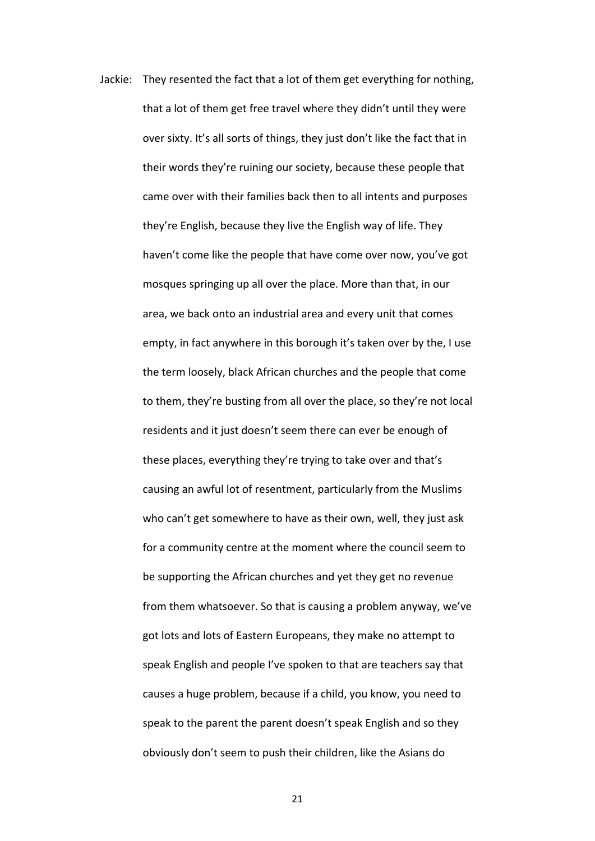Jackie: They resented the fact that a lot of them get everything for nothing, that a lot of them get free travel where they didn't until they were over sixty. It's all sorts of things, they just don't like the fact that in their words they're ruining our society, because these people that came over with their families back then to all intents and purposes they're English, because they live the English way of life. They haven't come like the people that have come over now, you've got mosques springing up all over the place. More than that, in our area, we back onto an industrial area and every unit that comes empty, in fact anywhere in this borough it's taken over by the, I use the term loosely, black African churches and the people that come to them, they're busting from all over the place, so they're not local residents and it just doesn't seem there can ever be enough of these places, everything they're trying to take over and that's causing an awful lot of resentment, particularly from the Muslims who can't get somewhere to have as their own, well, they just ask for a community centre at the moment where the council seem to be supporting the African churches and yet they get no revenue from them whatsoever. So that is causing a problem anyway, we've got lots and lots of Eastern Europeans, they make no attempt to speak English and people I've spoken to that are teachers say that causes a huge problem, because if a child, you know, you need to speak to the parent the parent doesn't speak English and so they obviously don't seem to push their children, like the Asians do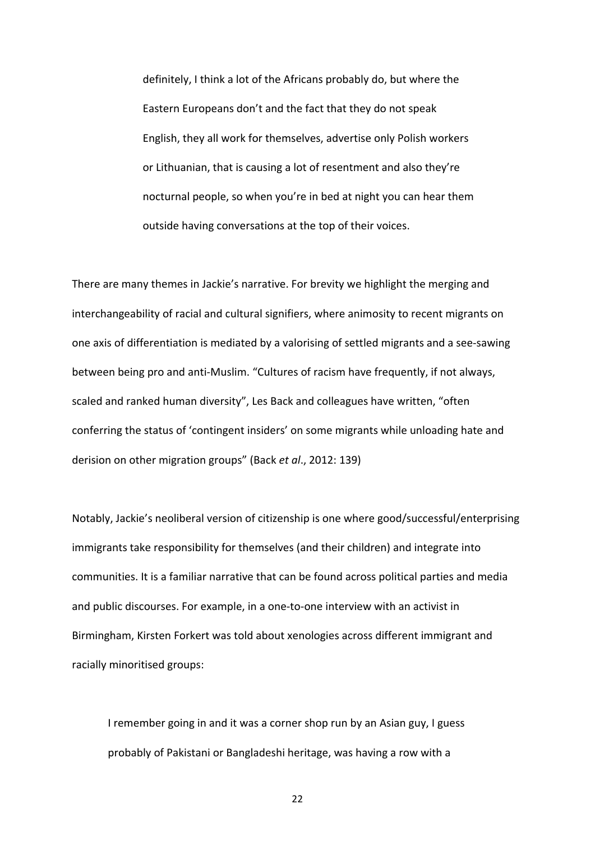definitely, I think a lot of the Africans probably do, but where the Eastern Europeans don't and the fact that they do not speak English, they all work for themselves, advertise only Polish workers or Lithuanian, that is causing a lot of resentment and also they're nocturnal people, so when you're in bed at night you can hear them outside having conversations at the top of their voices.

There are many themes in Jackie's narrative. For brevity we highlight the merging and interchangeability of racial and cultural signifiers, where animosity to recent migrants on one axis of differentiation is mediated by a valorising of settled migrants and a see-sawing between being pro and anti-Muslim. "Cultures of racism have frequently, if not always, scaled and ranked human diversity", Les Back and colleagues have written, "often conferring the status of 'contingent insiders' on some migrants while unloading hate and derision on other migration groups" (Back *et al*., 2012: 139)

Notably, Jackie's neoliberal version of citizenship is one where good/successful/enterprising immigrants take responsibility for themselves (and their children) and integrate into communities. It is a familiar narrative that can be found across political parties and media and public discourses. For example, in a one-to-one interview with an activist in Birmingham, Kirsten Forkert was told about xenologies across different immigrant and racially minoritised groups:

I remember going in and it was a corner shop run by an Asian guy, I guess probably of Pakistani or Bangladeshi heritage, was having a row with a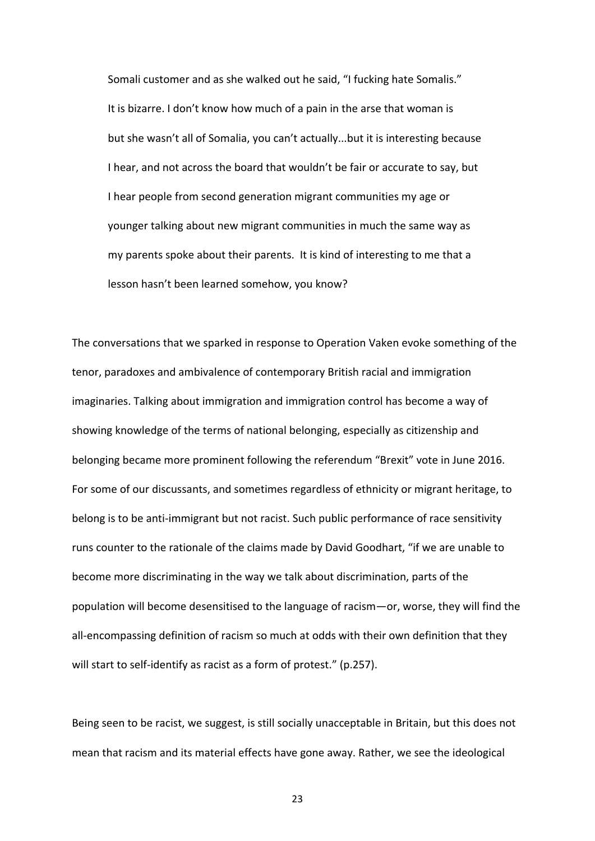Somali customer and as she walked out he said, "I fucking hate Somalis." It is bizarre. I don't know how much of a pain in the arse that woman is but she wasn't all of Somalia, you can't actually...but it is interesting because I hear, and not across the board that wouldn't be fair or accurate to say, but I hear people from second generation migrant communities my age or younger talking about new migrant communities in much the same way as my parents spoke about their parents. It is kind of interesting to me that a lesson hasn't been learned somehow, you know?

The conversations that we sparked in response to Operation Vaken evoke something of the tenor, paradoxes and ambivalence of contemporary British racial and immigration imaginaries. Talking about immigration and immigration control has become a way of showing knowledge of the terms of national belonging, especially as citizenship and belonging became more prominent following the referendum "Brexit" vote in June 2016. For some of our discussants, and sometimes regardless of ethnicity or migrant heritage, to belong is to be anti-immigrant but not racist. Such public performance of race sensitivity runs counter to the rationale of the claims made by David Goodhart, "if we are unable to become more discriminating in the way we talk about discrimination, parts of the population will become desensitised to the language of racism—or, worse, they will find the all-encompassing definition of racism so much at odds with their own definition that they will start to self-identify as racist as a form of protest." (p.257).

Being seen to be racist, we suggest, is still socially unacceptable in Britain, but this does not mean that racism and its material effects have gone away. Rather, we see the ideological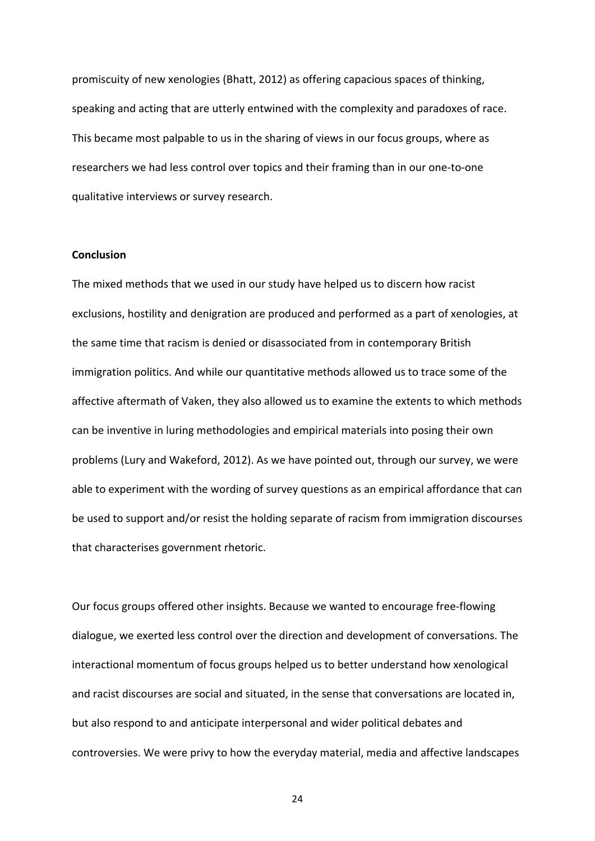promiscuity of new xenologies (Bhatt, 2012) as offering capacious spaces of thinking, speaking and acting that are utterly entwined with the complexity and paradoxes of race. This became most palpable to us in the sharing of views in our focus groups, where as researchers we had less control over topics and their framing than in our one-to-one qualitative interviews or survey research.

# **Conclusion**

The mixed methods that we used in our study have helped us to discern how racist exclusions, hostility and denigration are produced and performed as a part of xenologies, at the same time that racism is denied or disassociated from in contemporary British immigration politics. And while our quantitative methods allowed us to trace some of the affective aftermath of Vaken, they also allowed us to examine the extents to which methods can be inventive in luring methodologies and empirical materials into posing their own problems (Lury and Wakeford, 2012). As we have pointed out, through our survey, we were able to experiment with the wording of survey questions as an empirical affordance that can be used to support and/or resist the holding separate of racism from immigration discourses that characterises government rhetoric.

Our focus groups offered other insights. Because we wanted to encourage free-flowing dialogue, we exerted less control over the direction and development of conversations. The interactional momentum of focus groups helped us to better understand how xenological and racist discourses are social and situated, in the sense that conversations are located in, but also respond to and anticipate interpersonal and wider political debates and controversies. We were privy to how the everyday material, media and affective landscapes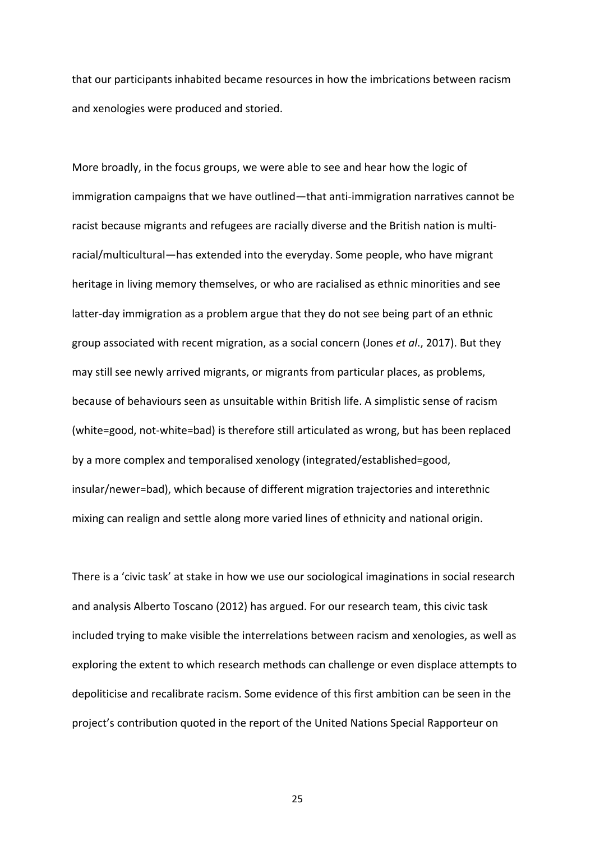that our participants inhabited became resources in how the imbrications between racism and xenologies were produced and storied.

More broadly, in the focus groups, we were able to see and hear how the logic of immigration campaigns that we have outlined—that anti-immigration narratives cannot be racist because migrants and refugees are racially diverse and the British nation is multiracial/multicultural—has extended into the everyday. Some people, who have migrant heritage in living memory themselves, or who are racialised as ethnic minorities and see latter-day immigration as a problem argue that they do not see being part of an ethnic group associated with recent migration, as a social concern (Jones *et al*., 2017). But they may still see newly arrived migrants, or migrants from particular places, as problems, because of behaviours seen as unsuitable within British life. A simplistic sense of racism (white=good, not-white=bad) is therefore still articulated as wrong, but has been replaced by a more complex and temporalised xenology (integrated/established=good, insular/newer=bad), which because of different migration trajectories and interethnic mixing can realign and settle along more varied lines of ethnicity and national origin.

There is a 'civic task' at stake in how we use our sociological imaginations in social research and analysis Alberto Toscano (2012) has argued. For our research team, this civic task included trying to make visible the interrelations between racism and xenologies, as well as exploring the extent to which research methods can challenge or even displace attempts to depoliticise and recalibrate racism. Some evidence of this first ambition can be seen in the project's contribution quoted in the report of the United Nations Special Rapporteur on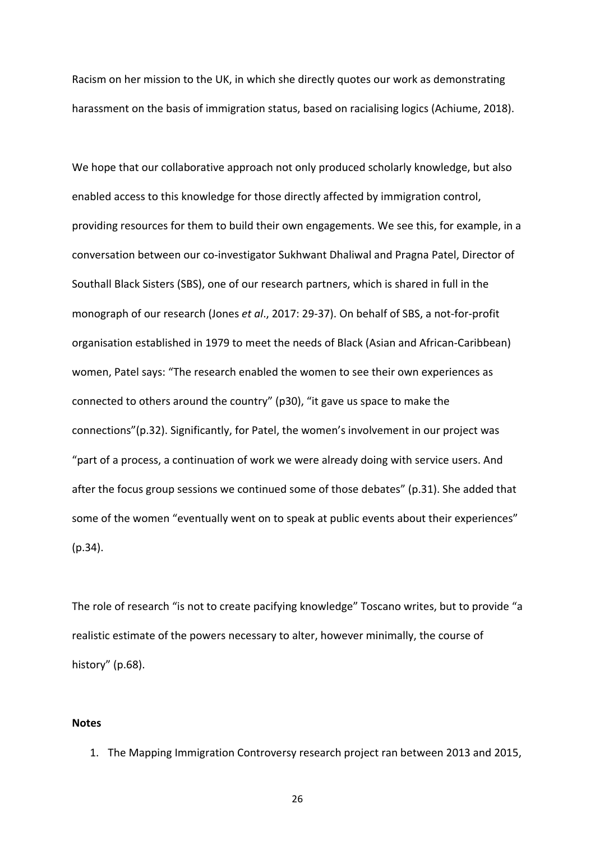Racism on her mission to the UK, in which she directly quotes our work as demonstrating harassment on the basis of immigration status, based on racialising logics (Achiume, 2018).

We hope that our collaborative approach not only produced scholarly knowledge, but also enabled access to this knowledge for those directly affected by immigration control, providing resources for them to build their own engagements. We see this, for example, in a conversation between our co-investigator Sukhwant Dhaliwal and Pragna Patel, Director of Southall Black Sisters (SBS), one of our research partners, which is shared in full in the monograph of our research (Jones *et al*., 2017: 29-37). On behalf of SBS, a not-for-profit organisation established in 1979 to meet the needs of Black (Asian and African-Caribbean) women, Patel says: "The research enabled the women to see their own experiences as connected to others around the country" (p30), "it gave us space to make the connections"(p.32). Significantly, for Patel, the women's involvement in our project was "part of a process, a continuation of work we were already doing with service users. And after the focus group sessions we continued some of those debates" (p.31). She added that some of the women "eventually went on to speak at public events about their experiences" (p.34).

The role of research "is not to create pacifying knowledge" Toscano writes, but to provide "a realistic estimate of the powers necessary to alter, however minimally, the course of history" (p.68).

#### **Notes**

1. The Mapping Immigration Controversy research project ran between 2013 and 2015,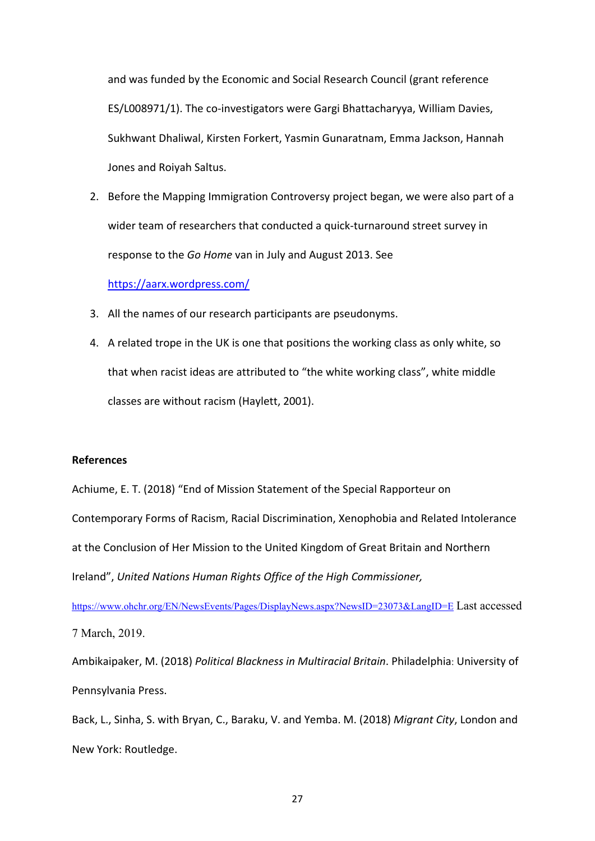and was funded by the Economic and Social Research Council (grant reference ES/L008971/1). The co-investigators were Gargi Bhattacharyya, William Davies, Sukhwant Dhaliwal, Kirsten Forkert, Yasmin Gunaratnam, Emma Jackson, Hannah Jones and Roiyah Saltus.

2. Before the Mapping Immigration Controversy project began, we were also part of a wider team of researchers that conducted a quick-turnaround street survey in response to the *Go Home* van in July and August 2013. See

## <https://aarx.wordpress.com/>

- 3. All the names of our research participants are pseudonyms.
- 4. A related trope in the UK is one that positions the working class as only white, so that when racist ideas are attributed to "the white working class", white middle classes are without racism (Haylett, 2001).

## **References**

Achiume, E. T. (2018) "End of Mission Statement of the Special Rapporteur on Contemporary Forms of Racism, Racial Discrimination, Xenophobia and Related Intolerance at the Conclusion of Her Mission to the United Kingdom of Great Britain and Northern Ireland", *United Nations Human Rights Office of the High Commissioner,*  <https://www.ohchr.org/EN/NewsEvents/Pages/DisplayNews.aspx?NewsID=23073&LangID=E> Last accessed 7 March, 2019.

Ambikaipaker, M. (2018) *Political Blackness in Multiracial Britain*. Philadelphia: University of Pennsylvania Press.

Back, L., Sinha, S. with Bryan, C., Baraku, V. and Yemba. M. (2018) *Migrant City*, London and New York: Routledge.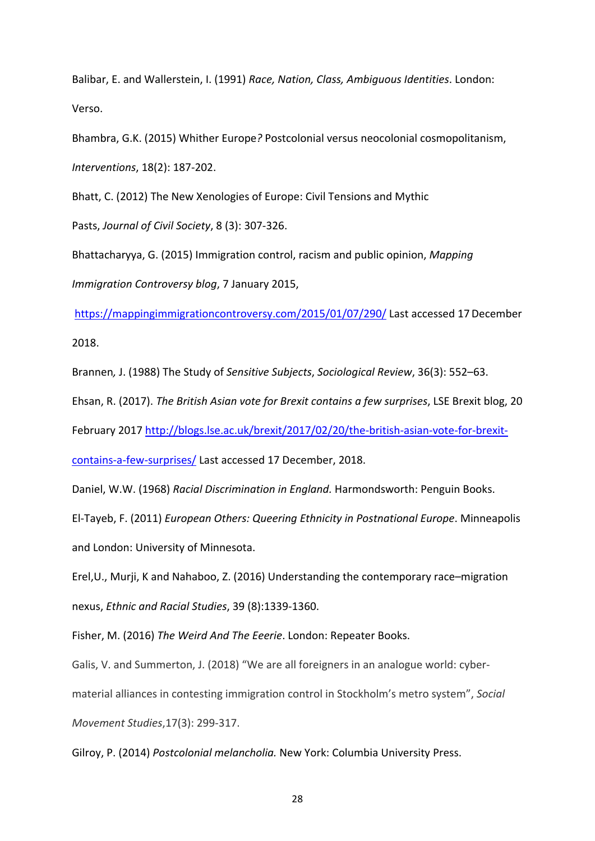Balibar, E. and Wallerstein, I. (1991) *Race, Nation, Class, Ambiguous Identities*. London: Verso.

Bhambra, G.K. (2015) Whither Europe*?* Postcolonial versus neocolonial cosmopolitanism, *Interventions*, 18(2): 187-202.

Bhatt, C. (2012) The New Xenologies of Europe: Civil Tensions and Mythic

Pasts, *Journal of Civil Society*, 8 (3): 307-326.

Bhattacharyya, G. (2015) Immigration control, racism and public opinion, *Mapping Immigration Controversy blog*, 7 January 2015,

<https://mappingimmigrationcontroversy.com/2015/01/07/290/> Last accessed 17December 2018.

Brannen*,* J. (1988) The Study of *Sensitive Subjects*, *Sociological Review*, 36(3): 552–63.

Ehsan, R. (2017). *The British Asian vote for Brexit contains a few surprises*, LSE Brexit blog, 20

February 2017 [http://blogs.lse.ac.uk/brexit/2017/02/20/the-british-asian-vote-for-brexit-](http://blogs.lse.ac.uk/brexit/2017/02/20/the-british-asian-vote-for-brexit-contains-a-few-surprises/)

[contains-a-few-surprises/](http://blogs.lse.ac.uk/brexit/2017/02/20/the-british-asian-vote-for-brexit-contains-a-few-surprises/) Last accessed 17 December, 2018.

Daniel, W.W. (1968) *Racial Discrimination in England.* Harmondsworth: Penguin Books.

El-Tayeb, F. (2011) *European Others: Queering Ethnicity in Postnational Europe*. Minneapolis and London: University of Minnesota.

Erel,U., Murji, K and Nahaboo, Z. (2016) Understanding the contemporary race–migration nexus, *Ethnic and Racial Studies*, 39 (8):1339-1360.

Fisher, M. (2016) *The Weird And The Eeerie*. London: Repeater Books.

Galis, V. and Summerton, J. (2018) "We are all foreigners in an analogue world: cybermaterial alliances in contesting immigration control in Stockholm's metro system", *Social Movement Studies*,17(3): 299-317.

Gilroy, P. (2014) *Postcolonial melancholia.* New York: Columbia University Press.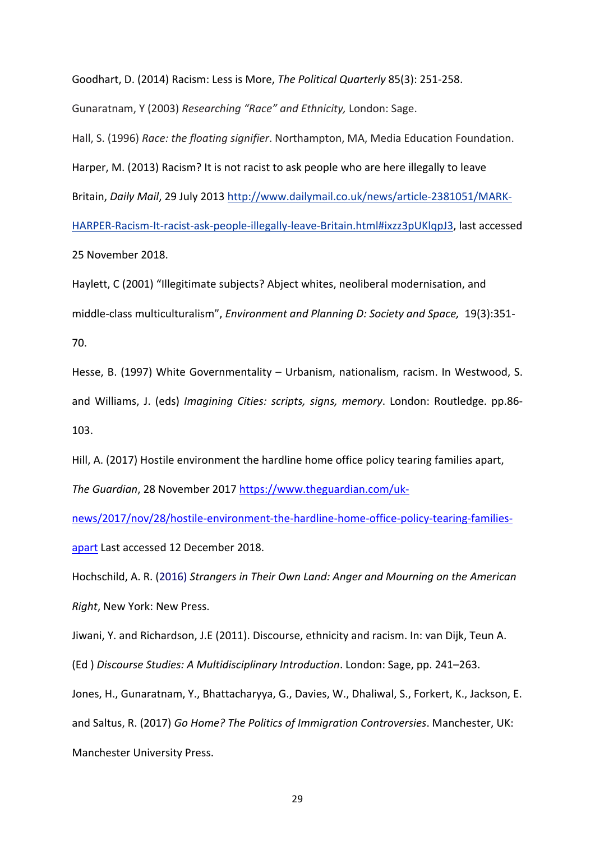Goodhart, D. (2014) Racism: Less is More, *The Political Quarterly* 85(3): 251-258.

Gunaratnam, Y (2003) *Researching "Race" and Ethnicity,* London: Sage.

Hall, S. (1996) *Race: the floating signifier*. Northampton, MA, Media Education Foundation. Harper, M. (2013) Racism? It is not racist to ask people who are here illegally to leave Britain, *Daily Mail*, 29 July 2013 [http://www.dailymail.co.uk/news/article-2381051/MARK-](http://www.dailymail.co.uk/news/article-2381051/MARK-HARPER-Racism-It-racist-ask-people-illegally-leave-Britain.html#ixzz3pUKlqpJ3)[HARPER-Racism-It-racist-ask-people-illegally-leave-Britain.html#ixzz3pUKlqpJ3,](http://www.dailymail.co.uk/news/article-2381051/MARK-HARPER-Racism-It-racist-ask-people-illegally-leave-Britain.html#ixzz3pUKlqpJ3) last accessed 25 November 2018.

Haylett, C (2001) "Illegitimate subjects? Abject whites, neoliberal modernisation, and middle-class multiculturalism", *Environment and Planning D: Society and Space,* 19(3):351- 70.

Hesse, B. (1997) White Governmentality – Urbanism, nationalism, racism. In Westwood, S. and Williams, J. (eds) *Imagining Cities: scripts, signs, memory*. London: Routledge. pp.86- 103.

Hill, A. (2017) Hostile environment the hardline home office policy tearing families apart, *The Guardian*, 28 November 2017 [https://www.theguardian.com/uk-](https://www.theguardian.com/uk-news/2017/nov/28/hostile-environment-the-hardline-home-office-policy-tearing-families-apart)

[news/2017/nov/28/hostile-environment-the-hardline-home-office-policy-tearing-families-](https://www.theguardian.com/uk-news/2017/nov/28/hostile-environment-the-hardline-home-office-policy-tearing-families-apart)

[apart](https://www.theguardian.com/uk-news/2017/nov/28/hostile-environment-the-hardline-home-office-policy-tearing-families-apart) Last accessed 12 December 2018.

Hochschild, A. R. (2016) *Strangers in Their Own Land: Anger and Mourning on the American Right*, New York: New Press.

Jiwani, Y. and Richardson, J.E (2011). Discourse, ethnicity and racism. In: van Dijk, Teun A. (Ed ) *Discourse Studies: A Multidisciplinary Introduction*. London: Sage, pp. 241–263. Jones, H., Gunaratnam, Y., Bhattacharyya, G., Davies, W., Dhaliwal, S., Forkert, K., Jackson, E. and Saltus, R. (2017) *Go Home? The Politics of Immigration Controversies*. Manchester, UK: Manchester University Press.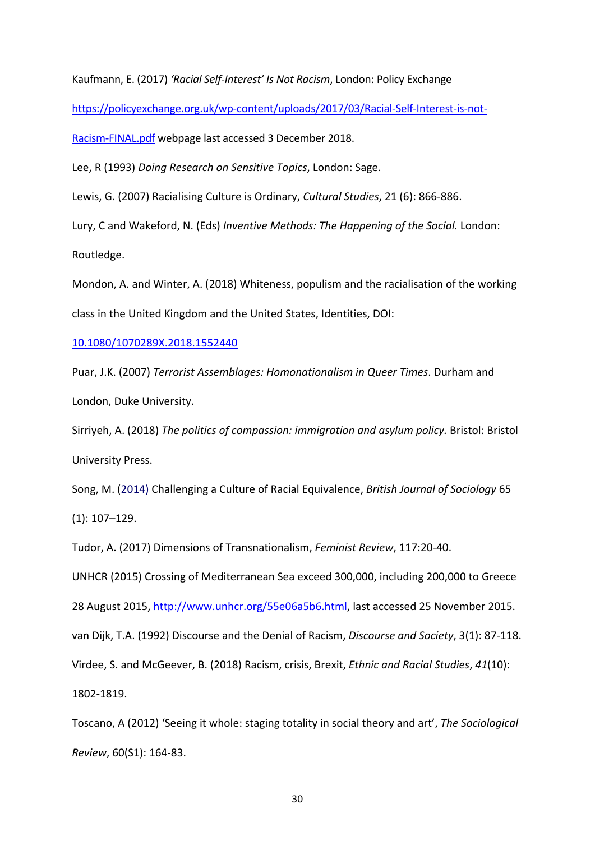Kaufmann, E. (2017) *'Racial Self-Interest' Is Not Racism*, London: Policy Exchange

[https://policyexchange.org.uk/wp-content/uploads/2017/03/Racial-Self-Interest-is-not-](https://policyexchange.org.uk/wp-content/uploads/2017/03/Racial-Self-Interest-is-not-Racism-FINAL.pdf)

[Racism-FINAL.pdf](https://policyexchange.org.uk/wp-content/uploads/2017/03/Racial-Self-Interest-is-not-Racism-FINAL.pdf) webpage last accessed 3 December 2018.

Lee, R (1993) *Doing Research on Sensitive Topics*, London: Sage.

Lewis, G. (2007) Racialising Culture is Ordinary, *Cultural Studies*, 21 (6): 866-886.

Lury, C and Wakeford, N. (Eds) *Inventive Methods: The Happening of the Social.* London: Routledge.

Mondon, A. and Winter, A. (2018) Whiteness, populism and the racialisation of the working class in the United Kingdom and the United States, Identities, DOI:

[10.1080/1070289X.2018.1552440](https://doi.org/10.1080/1070289X.2018.1552440)

Puar, J.K. (2007) *Terrorist Assemblages: Homonationalism in Queer Times*. Durham and London, Duke University.

Sirriyeh, A. (2018) *The politics of compassion: immigration and asylum policy.* Bristol: Bristol University Press.

Song, M. (2014) Challenging a Culture of Racial Equivalence, *British Journal of Sociology* 65 (1): 107–129.

Tudor, A. (2017) Dimensions of Transnationalism, *Feminist Review*, 117:20-40.

UNHCR (2015) Crossing of Mediterranean Sea exceed 300,000, including 200,000 to Greece

28 August 2015, [http://www.unhcr.org/55e06a5b6.html,](http://www.unhcr.org/55e06a5b6.html) last accessed 25 November 2015.

van Dijk, T.A. (1992) Discourse and the Denial of Racism, *Discourse and Society*, 3(1): 87-118.

Virdee, S. and McGeever, B. (2018) Racism, crisis, Brexit, *Ethnic and Racial Studies*, *41*(10):

1802-1819.

Toscano, A (2012) 'Seeing it whole: staging totality in social theory and art', *The Sociological Review*, 60(S1): 164-83.